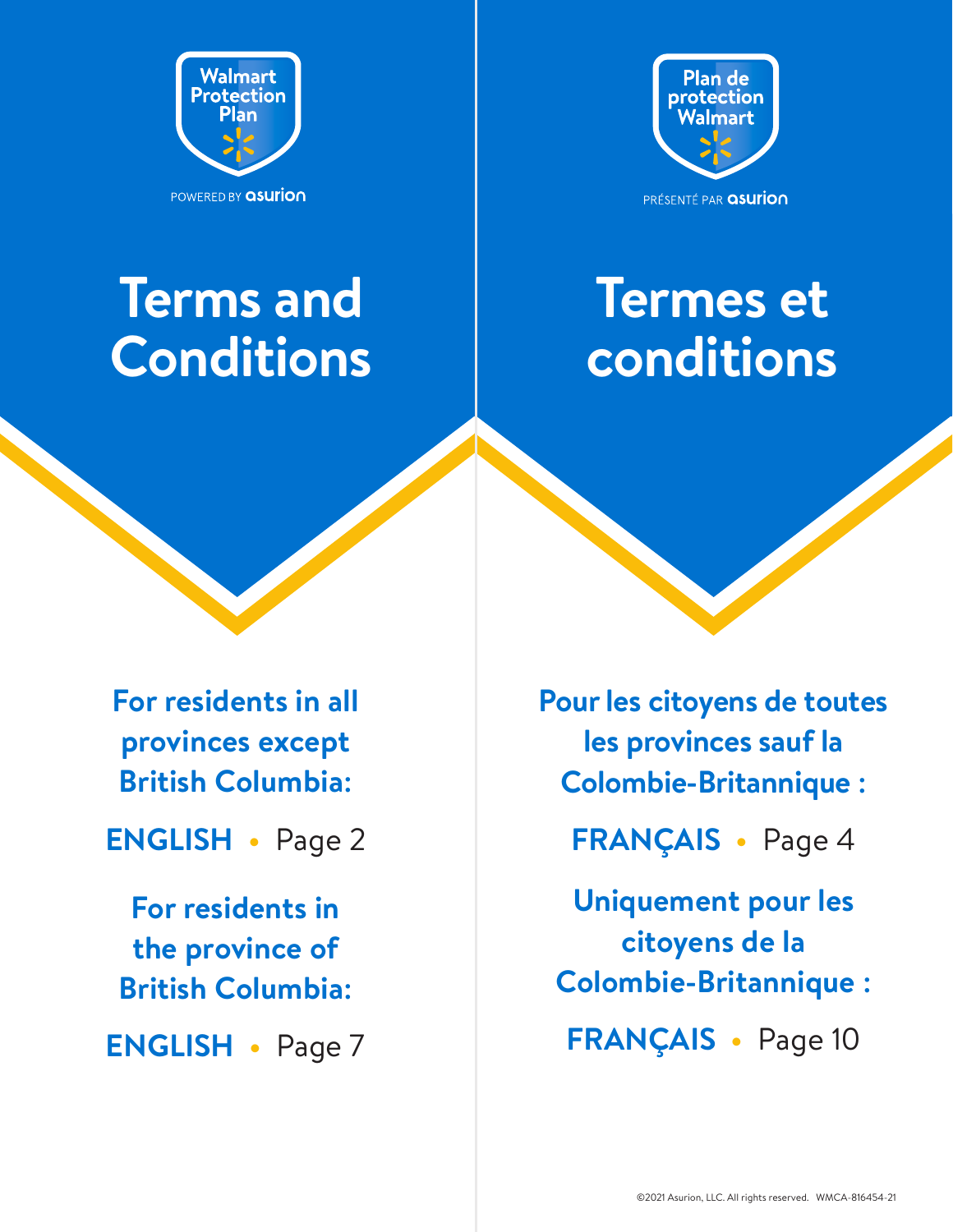<span id="page-0-0"></span>



# **Terms and Conditions**



**For residents in all provinces except British Columbia:** 

**[ENGLISH •](#page-1-0)** Page 2

**For residents in the province of British Columbia:** 

**[ENGLISH •](#page-6-0)** Page 7

**[Pour les citoyens de toutes](#page-3-0)  [les provinces sauf la](#page-3-0)  [Colombie-Britannique :](#page-3-0)** 

**[FRANÇAIS •](#page-3-0)** Page 4

**[Uniquement pour les](#page-9-0)  [citoyens de la](#page-9-0)  [Colombie-Britannique :](#page-9-0)** 

**[FRANÇAIS •](#page-9-0)** Page 10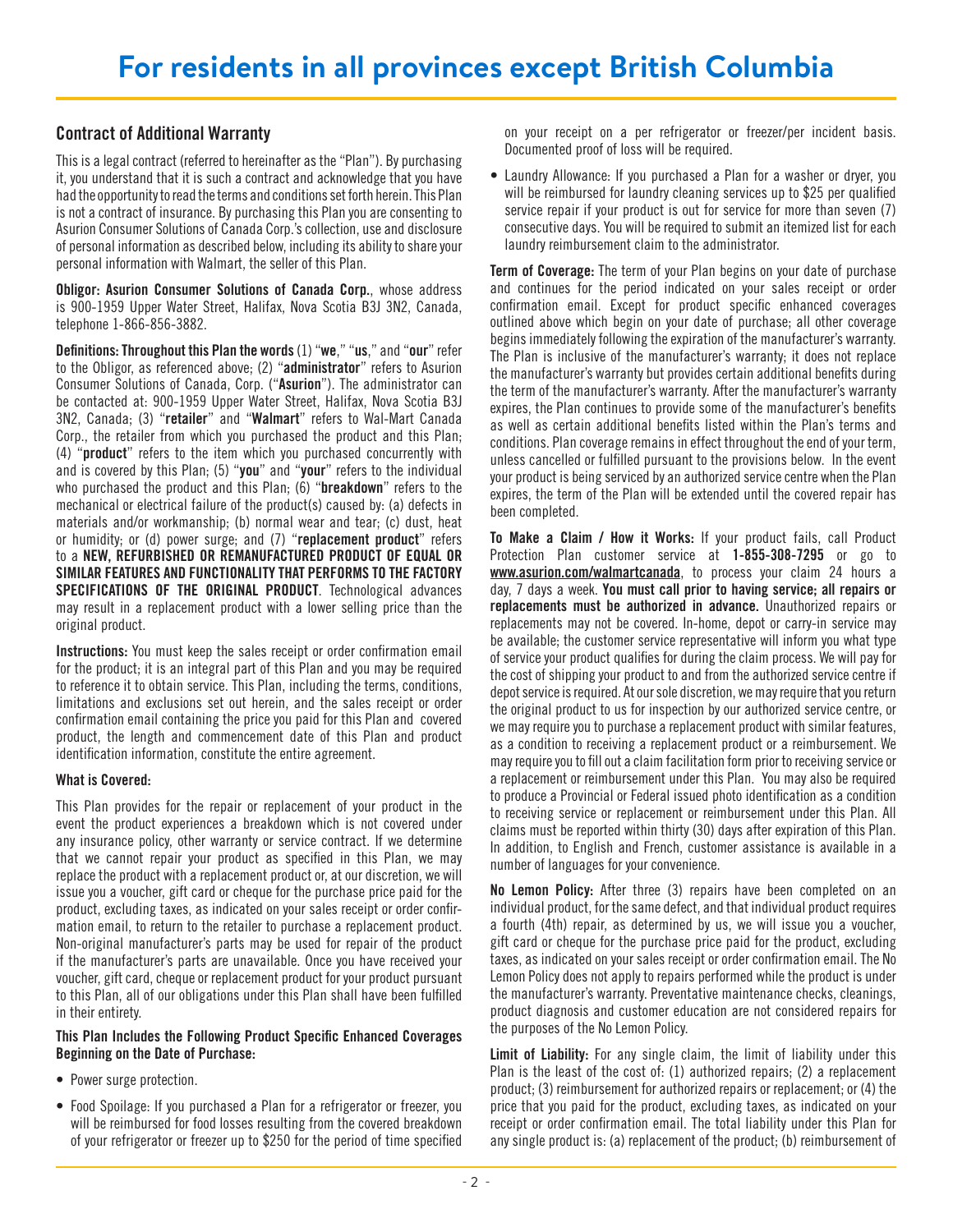# <span id="page-1-0"></span>Contract of Additional Warranty

This is a legal contract (referred to hereinafter as the "Plan"). By purchasing it, you understand that it is such a contract and acknowledge that you have had the opportunity to read the terms and conditions set forth herein. This Plan is not a contract of insurance. By purchasing this Plan you are consenting to Asurion Consumer Solutions of Canada Corp.'s collection, use and disclosure of personal information as described below, including its ability to share your personal information with Walmart, the seller of this Plan.

Obligor: Asurion Consumer Solutions of Canada Corp., whose address is 900-1959 Upper Water Street, Halifax, Nova Scotia B3J 3N2, Canada, telephone 1-866-856-3882.

Definitions: Throughout this Plan the words (1) "we," "us," and "our" refer to the Obligor, as referenced above; (2) "administrator" refers to Asurion Consumer Solutions of Canada, Corp. ("Asurion"). The administrator can be contacted at: 900-1959 Upper Water Street, Halifax, Nova Scotia B3J 3N2, Canada; (3) "retailer" and "Walmart" refers to Wal-Mart Canada Corp., the retailer from which you purchased the product and this Plan; (4) "product" refers to the item which you purchased concurrently with and is covered by this Plan; (5) "you" and "your" refers to the individual who purchased the product and this Plan; (6) "**breakdown**" refers to the mechanical or electrical failure of the product(s) caused by: (a) defects in materials and/or workmanship; (b) normal wear and tear; (c) dust, heat or humidity; or (d) power surge; and (7) "replacement product" refers to a NEW, REFURBISHED OR REMANUFACTURED PRODUCT OF EQUAL OR SIMILAR FEATURES AND FUNCTIONALITY THAT PERFORMS TO THE FACTORY SPECIFICATIONS OF THE ORIGINAL PRODUCT. Technological advances may result in a replacement product with a lower selling price than the original product.

Instructions: You must keep the sales receipt or order confirmation email for the product; it is an integral part of this Plan and you may be required to reference it to obtain service. This Plan, including the terms, conditions, limitations and exclusions set out herein, and the sales receipt or order confirmation email containing the price you paid for this Plan and covered product, the length and commencement date of this Plan and product identification information, constitute the entire agreement.

## What is Covered:

This Plan provides for the repair or replacement of your product in the event the product experiences a breakdown which is not covered under any insurance policy, other warranty or service contract. If we determine that we cannot repair your product as specified in this Plan, we may replace the product with a replacement product or, at our discretion, we will issue you a voucher, gift card or cheque for the purchase price paid for the product, excluding taxes, as indicated on your sales receipt or order confirmation email, to return to the retailer to purchase a replacement product. Non-original manufacturer's parts may be used for repair of the product if the manufacturer's parts are unavailable. Once you have received your voucher, gift card, cheque or replacement product for your product pursuant to this Plan, all of our obligations under this Plan shall have been fulfilled in their entirety.

## This Plan Includes the Following Product Specific Enhanced Coverages Beginning on the Date of Purchase:

- Power surge protection.
- Food Spoilage: If you purchased a Plan for a refrigerator or freezer, you will be reimbursed for food losses resulting from the covered breakdown of your refrigerator or freezer up to \$250 for the period of time specified

on your receipt on a per refrigerator or freezer/per incident basis. Documented proof of loss will be required.

• Laundry Allowance: If you purchased a Plan for a washer or dryer, you will be reimbursed for laundry cleaning services up to \$25 per qualified service repair if your product is out for service for more than seven (7) consecutive days. You will be required to submit an itemized list for each laundry reimbursement claim to the administrator.

**Term of Coverage:** The term of your Plan begins on your date of purchase and continues for the period indicated on your sales receipt or order confirmation email. Except for product specific enhanced coverages outlined above which begin on your date of purchase; all other coverage begins immediately following the expiration of the manufacturer's warranty. The Plan is inclusive of the manufacturer's warranty; it does not replace the manufacturer's warranty but provides certain additional benefits during the term of the manufacturer's warranty. After the manufacturer's warranty expires, the Plan continues to provide some of the manufacturer's benefits as well as certain additional benefits listed within the Plan's terms and conditions. Plan coverage remains in effect throughout the end of your term, unless cancelled or fulfilled pursuant to the provisions below. In the event your product is being serviced by an authorized service centre when the Plan expires, the term of the Plan will be extended until the covered repair has been completed.

To Make a Claim / How it Works: If your product fails, call Product Protection Plan customer service at 1-855-308-7295 or go to [www.asurion.com/walmartcanada](http://www.asurion.com/walmartcanada), to process your claim 24 hours a day, 7 days a week. You must call prior to having service; all repairs or replacements must be authorized in advance. Unauthorized repairs or replacements may not be covered. In-home, depot or carry-in service may be available; the customer service representative will inform you what type of service your product qualifies for during the claim process. We will pay for the cost of shipping your product to and from the authorized service centre if depot service is required. At our sole discretion, we may require that you return the original product to us for inspection by our authorized service centre, or we may require you to purchase a replacement product with similar features, as a condition to receiving a replacement product or a reimbursement. We may require you to fill out a claim facilitation form prior to receiving service or a replacement or reimbursement under this Plan. You may also be required to produce a Provincial or Federal issued photo identification as a condition to receiving service or replacement or reimbursement under this Plan. All claims must be reported within thirty (30) days after expiration of this Plan. In addition, to English and French, customer assistance is available in a number of languages for your convenience.

No Lemon Policy: After three (3) repairs have been completed on an individual product, for the same defect, and that individual product requires a fourth (4th) repair, as determined by us, we will issue you a voucher, gift card or cheque for the purchase price paid for the product, excluding taxes, as indicated on your sales receipt or order confirmation email. The No Lemon Policy does not apply to repairs performed while the product is under the manufacturer's warranty. Preventative maintenance checks, cleanings, product diagnosis and customer education are not considered repairs for the purposes of the No Lemon Policy.

Limit of Liability: For any single claim, the limit of liability under this Plan is the least of the cost of: (1) authorized repairs; (2) a replacement product; (3) reimbursement for authorized repairs or replacement; or (4) the price that you paid for the product, excluding taxes, as indicated on your receipt or order confirmation email. The total liability under this Plan for any single product is: (a) replacement of the product; (b) reimbursement of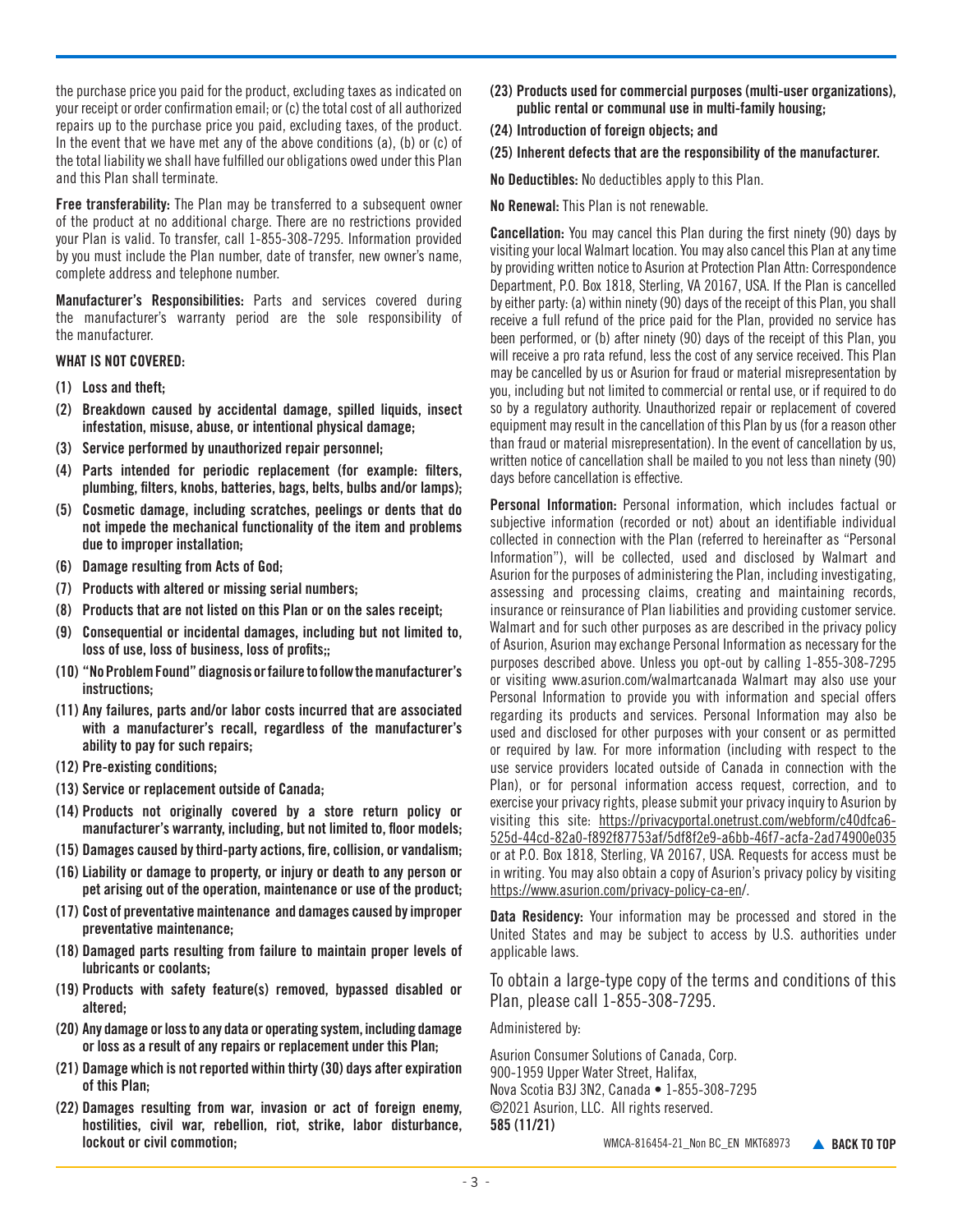the purchase price you paid for the product, excluding taxes as indicated on your receipt or order confirmation email; or (c) the total cost of all authorized repairs up to the purchase price you paid, excluding taxes, of the product. In the event that we have met any of the above conditions (a), (b) or (c) of the total liability we shall have fulfilled our obligations owed under this Plan and this Plan shall terminate.

Free transferability: The Plan may be transferred to a subsequent owner of the product at no additional charge. There are no restrictions provided your Plan is valid. To transfer, call 1-855-308-7295. Information provided by you must include the Plan number, date of transfer, new owner's name, complete address and telephone number.

Manufacturer's Responsibilities: Parts and services covered during the manufacturer's warranty period are the sole responsibility of the manufacturer.

#### WHAT IS NOT COVERED:

- (1) Loss and theft;
- (2) Breakdown caused by accidental damage, spilled liquids, insect infestation, misuse, abuse, or intentional physical damage;
- (3) Service performed by unauthorized repair personnel;
- (4) Parts intended for periodic replacement (for example: filters, plumbing, filters, knobs, batteries, bags, belts, bulbs and/or lamps);
- (5) Cosmetic damage, including scratches, peelings or dents that do not impede the mechanical functionality of the item and problems due to improper installation;
- (6) Damage resulting from Acts of God;
- (7) Products with altered or missing serial numbers;
- (8) Products that are not listed on this Plan or on the sales receipt;
- (9) Consequential or incidental damages, including but not limited to, loss of use, loss of business, loss of profits;;
- (10) "No Problem Found" diagnosis or failure to follow the manufacturer's instructions;
- (11) Any failures, parts and/or labor costs incurred that are associated with a manufacturer's recall, regardless of the manufacturer's ability to pay for such repairs;
- (12) Pre-existing conditions;
- (13) Service or replacement outside of Canada;
- (14) Products not originally covered by a store return policy or manufacturer's warranty, including, but not limited to, floor models;
- (15) Damages caused by third-party actions, fire, collision, or vandalism;
- (16) Liability or damage to property, or injury or death to any person or pet arising out of the operation, maintenance or use of the product;
- (17) Cost of preventative maintenance and damages caused by improper preventative maintenance;
- (18) Damaged parts resulting from failure to maintain proper levels of lubricants or coolants;
- (19) Products with safety feature(s) removed, bypassed disabled or altered;
- (20) Any damage or loss to any data or operating system, including damage or loss as a result of any repairs or replacement under this Plan;
- (21) Damage which is not reported within thirty (30) days after expiration of this Plan;
- (22) Damages resulting from war, invasion or act of foreign enemy, hostilities, civil war, rebellion, riot, strike, labor disturbance, lockout or civil commotion;
- (23) Products used for commercial purposes (multi-user organizations), public rental or communal use in multi-family housing;
- (24) Introduction of foreign objects; and
- (25) Inherent defects that are the responsibility of the manufacturer.

No Deductibles: No deductibles apply to this Plan.

No Renewal: This Plan is not renewable.

Cancellation: You may cancel this Plan during the first ninety (90) days by visiting your local Walmart location. You may also cancel this Plan at any time by providing written notice to Asurion at Protection Plan Attn: Correspondence Department, P.O. Box 1818, Sterling, VA 20167, USA. If the Plan is cancelled by either party: (a) within ninety (90) days of the receipt of this Plan, you shall receive a full refund of the price paid for the Plan, provided no service has been performed, or (b) after ninety (90) days of the receipt of this Plan, you will receive a pro rata refund, less the cost of any service received. This Plan may be cancelled by us or Asurion for fraud or material misrepresentation by you, including but not limited to commercial or rental use, or if required to do so by a regulatory authority. Unauthorized repair or replacement of covered equipment may result in the cancellation of this Plan by us (for a reason other than fraud or material misrepresentation). In the event of cancellation by us, written notice of cancellation shall be mailed to you not less than ninety (90) days before cancellation is effective.

Personal Information: Personal information, which includes factual or subjective information (recorded or not) about an identifiable individual collected in connection with the Plan (referred to hereinafter as "Personal Information"), will be collected, used and disclosed by Walmart and Asurion for the purposes of administering the Plan, including investigating, assessing and processing claims, creating and maintaining records, insurance or reinsurance of Plan liabilities and providing customer service. Walmart and for such other purposes as are described in the privacy policy of Asurion, Asurion may exchange Personal Information as necessary for the purposes described above. Unless you opt-out by calling 1-855-308-7295 or visiting www.asurion.com/walmartcanada Walmart may also use your Personal Information to provide you with information and special offers regarding its products and services. Personal Information may also be used and disclosed for other purposes with your consent or as permitted or required by law. For more information (including with respect to the use service providers located outside of Canada in connection with the Plan), or for personal information access request, correction, and to exercise your privacy rights, please submit your privacy inquiry to Asurion by visiting this site: https://privacyportal.onetrust.com/webform/c40dfca6- 525d-44cd-82a0-f892f87753af/5df8f2e9-a6bb-46f7-acfa-2ad74900e035 or at P.O. Box 1818, Sterling, VA 20167, USA. Requests for access must be in writing. You may also obtain a copy of Asurion's privacy policy by visiting [https://www.asurion.com/privacy-policy-ca-en/](https://www.asurion.com/privacy-policy-ca-en).

Data Residency: Your information may be processed and stored in the United States and may be subject to access by U.S. authorities under applicable laws.

To obtain a large-type copy of the terms and conditions of this Plan, please call 1-855-308-7295.

Administered by:

Asurion Consumer Solutions of Canada, Corp. 900-1959 Upper Water Street, Halifax, Nova Scotia B3J 3N2, Canada • 1-855-308-7295 ©2021 Asurion, LLC. All rights reserved. 585 (11/21) WMCA-816454-21\_Non BC\_EN MKT68973 A [BACK TO TOP](#page-0-0)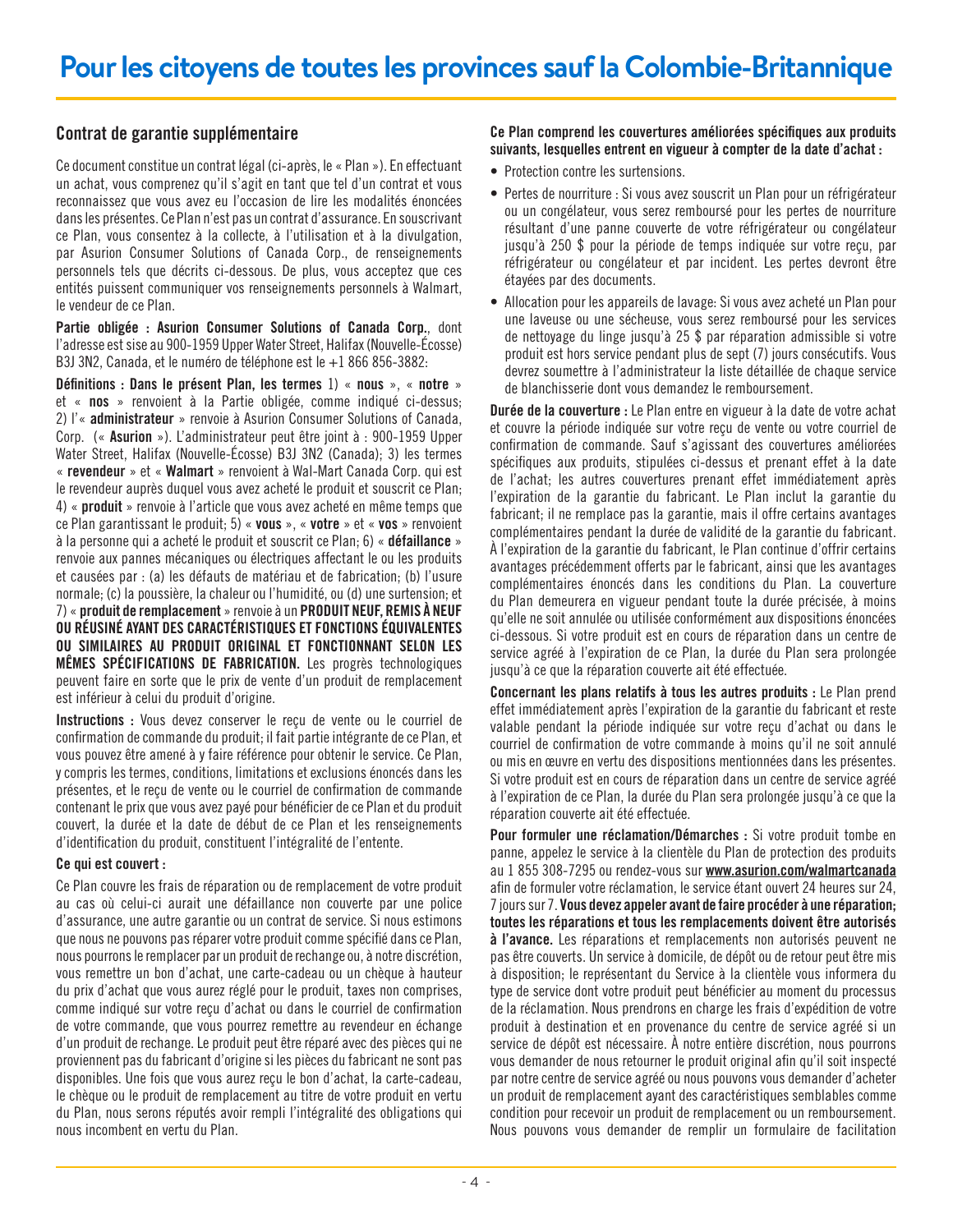# <span id="page-3-0"></span>Contrat de garantie supplémentaire

Ce document constitue un contrat légal (ci-après, le « Plan »). En effectuant un achat, vous comprenez qu'il s'agit en tant que tel d'un contrat et vous reconnaissez que vous avez eu l'occasion de lire les modalités énoncées dans les présentes. Ce Plan n'est pas un contrat d'assurance. En souscrivant ce Plan, vous consentez à la collecte, à l'utilisation et à la divulgation, par Asurion Consumer Solutions of Canada Corp., de renseignements personnels tels que décrits ci-dessous. De plus, vous acceptez que ces entités puissent communiquer vos renseignements personnels à Walmart, le vendeur de ce Plan.

Partie obligée : Asurion Consumer Solutions of Canada Corp., dont l'adresse est sise au 900-1959 Upper Water Street, Halifax (Nouvelle-Écosse) B3J 3N2, Canada, et le numéro de téléphone est le +1 866 856-3882:

Définitions : Dans le présent Plan, les termes 1) « nous », « notre » et « nos » renvoient à la Partie obligée, comme indiqué ci-dessus; 2) l'« administrateur » renvoie à Asurion Consumer Solutions of Canada, Corp. (« Asurion »). L'administrateur peut être joint à : 900-1959 Upper Water Street, Halifax (Nouvelle-Écosse) B3J 3N2 (Canada); 3) les termes « revendeur » et « Walmart » renvoient à Wal-Mart Canada Corp. qui est le revendeur auprès duquel vous avez acheté le produit et souscrit ce Plan; 4) « produit » renvoie à l'article que vous avez acheté en même temps que ce Plan garantissant le produit; 5) « vous », « votre » et « vos » renvoient à la personne qui a acheté le produit et souscrit ce Plan; 6) « défaillance » renvoie aux pannes mécaniques ou électriques affectant le ou les produits et causées par : (a) les défauts de matériau et de fabrication; (b) l'usure normale; (c) la poussière, la chaleur ou l'humidité, ou (d) une surtension; et 7) « produit de remplacement » renvoie à un PRODUIT NEUF, REMIS À NEUF OU RÉUSINÉ AYANT DES CARACTÉRISTIQUES ET FONCTIONS ÉQUIVALENTES OU SIMILAIRES AU PRODUIT ORIGINAL ET FONCTIONNANT SELON LES MÊMES SPÉCIFICATIONS DE FABRICATION. Les progrès technologiques peuvent faire en sorte que le prix de vente d'un produit de remplacement est inférieur à celui du produit d'origine.

Instructions : Vous devez conserver le reçu de vente ou le courriel de confirmation de commande du produit; il fait partie intégrante de ce Plan, et vous pouvez être amené à y faire référence pour obtenir le service. Ce Plan, y compris les termes, conditions, limitations et exclusions énoncés dans les présentes, et le reçu de vente ou le courriel de confirmation de commande contenant le prix que vous avez payé pour bénéficier de ce Plan et du produit couvert, la durée et la date de début de ce Plan et les renseignements d'identification du produit, constituent l'intégralité de l'entente.

## Ce qui est couvert :

Ce Plan couvre les frais de réparation ou de remplacement de votre produit au cas où celui-ci aurait une défaillance non couverte par une police d'assurance, une autre garantie ou un contrat de service. Si nous estimons que nous ne pouvons pas réparer votre produit comme spécifié dans ce Plan, nous pourrons le remplacer par un produit de rechange ou, à notre discrétion, vous remettre un bon d'achat, une carte-cadeau ou un chèque à hauteur du prix d'achat que vous aurez réglé pour le produit, taxes non comprises, comme indiqué sur votre reçu d'achat ou dans le courriel de confirmation de votre commande, que vous pourrez remettre au revendeur en échange d'un produit de rechange. Le produit peut être réparé avec des pièces qui ne proviennent pas du fabricant d'origine si les pièces du fabricant ne sont pas disponibles. Une fois que vous aurez reçu le bon d'achat, la carte-cadeau, le chèque ou le produit de remplacement au titre de votre produit en vertu du Plan, nous serons réputés avoir rempli l'intégralité des obligations qui nous incombent en vertu du Plan.

## Ce Plan comprend les couvertures améliorées spécifiques aux produits suivants, lesquelles entrent en vigueur à compter de la date d'achat :

- Protection contre les surtensions.
- Pertes de nourriture : Si vous avez souscrit un Plan pour un réfrigérateur ou un congélateur, vous serez remboursé pour les pertes de nourriture résultant d'une panne couverte de votre réfrigérateur ou congélateur jusqu'à 250 \$ pour la période de temps indiquée sur votre reçu, par réfrigérateur ou congélateur et par incident. Les pertes devront être étayées par des documents.
- Allocation pour les appareils de lavage: Si vous avez acheté un Plan pour une laveuse ou une sécheuse, vous serez remboursé pour les services de nettoyage du linge jusqu'à 25 \$ par réparation admissible si votre produit est hors service pendant plus de sept (7) jours consécutifs. Vous devrez soumettre à l'administrateur la liste détaillée de chaque service de blanchisserie dont vous demandez le remboursement.

Durée de la couverture : Le Plan entre en vigueur à la date de votre achat et couvre la période indiquée sur votre reçu de vente ou votre courriel de confirmation de commande. Sauf s'agissant des couvertures améliorées spécifiques aux produits, stipulées ci-dessus et prenant effet à la date de l'achat; les autres couvertures prenant effet immédiatement après l'expiration de la garantie du fabricant. Le Plan inclut la garantie du fabricant; il ne remplace pas la garantie, mais il offre certains avantages complémentaires pendant la durée de validité de la garantie du fabricant. À l'expiration de la garantie du fabricant, le Plan continue d'offrir certains avantages précédemment offerts par le fabricant, ainsi que les avantages complémentaires énoncés dans les conditions du Plan. La couverture du Plan demeurera en vigueur pendant toute la durée précisée, à moins qu'elle ne soit annulée ou utilisée conformément aux dispositions énoncées ci-dessous. Si votre produit est en cours de réparation dans un centre de service agréé à l'expiration de ce Plan, la durée du Plan sera prolongée jusqu'à ce que la réparation couverte ait été effectuée.

Concernant les plans relatifs à tous les autres produits : Le Plan prend effet immédiatement après l'expiration de la garantie du fabricant et reste valable pendant la période indiquée sur votre reçu d'achat ou dans le courriel de confirmation de votre commande à moins qu'il ne soit annulé ou mis en œuvre en vertu des dispositions mentionnées dans les présentes. Si votre produit est en cours de réparation dans un centre de service agréé à l'expiration de ce Plan, la durée du Plan sera prolongée jusqu'à ce que la réparation couverte ait été effectuée.

Pour formuler une réclamation/Démarches : Si votre produit tombe en panne, appelez le service à la clientèle du Plan de protection des produits au 1 855 308-7295 ou rendez-vous sur [www.asurion.com/walmartcanada](http://www.asurion.com/walmartcanada) afin de formuler votre réclamation, le service étant ouvert 24 heures sur 24, 7 jours sur 7. Vous devez appeler avant de faire procéder à une réparation; toutes les réparations et tous les remplacements doivent être autorisés à l'avance. Les réparations et remplacements non autorisés peuvent ne pas être couverts. Un service à domicile, de dépôt ou de retour peut être mis à disposition; le représentant du Service à la clientèle vous informera du type de service dont votre produit peut bénéficier au moment du processus de la réclamation. Nous prendrons en charge les frais d'expédition de votre produit à destination et en provenance du centre de service agréé si un service de dépôt est nécessaire. À notre entière discrétion, nous pourrons vous demander de nous retourner le produit original afin qu'il soit inspecté par notre centre de service agréé ou nous pouvons vous demander d'acheter un produit de remplacement ayant des caractéristiques semblables comme condition pour recevoir un produit de remplacement ou un remboursement. Nous pouvons vous demander de remplir un formulaire de facilitation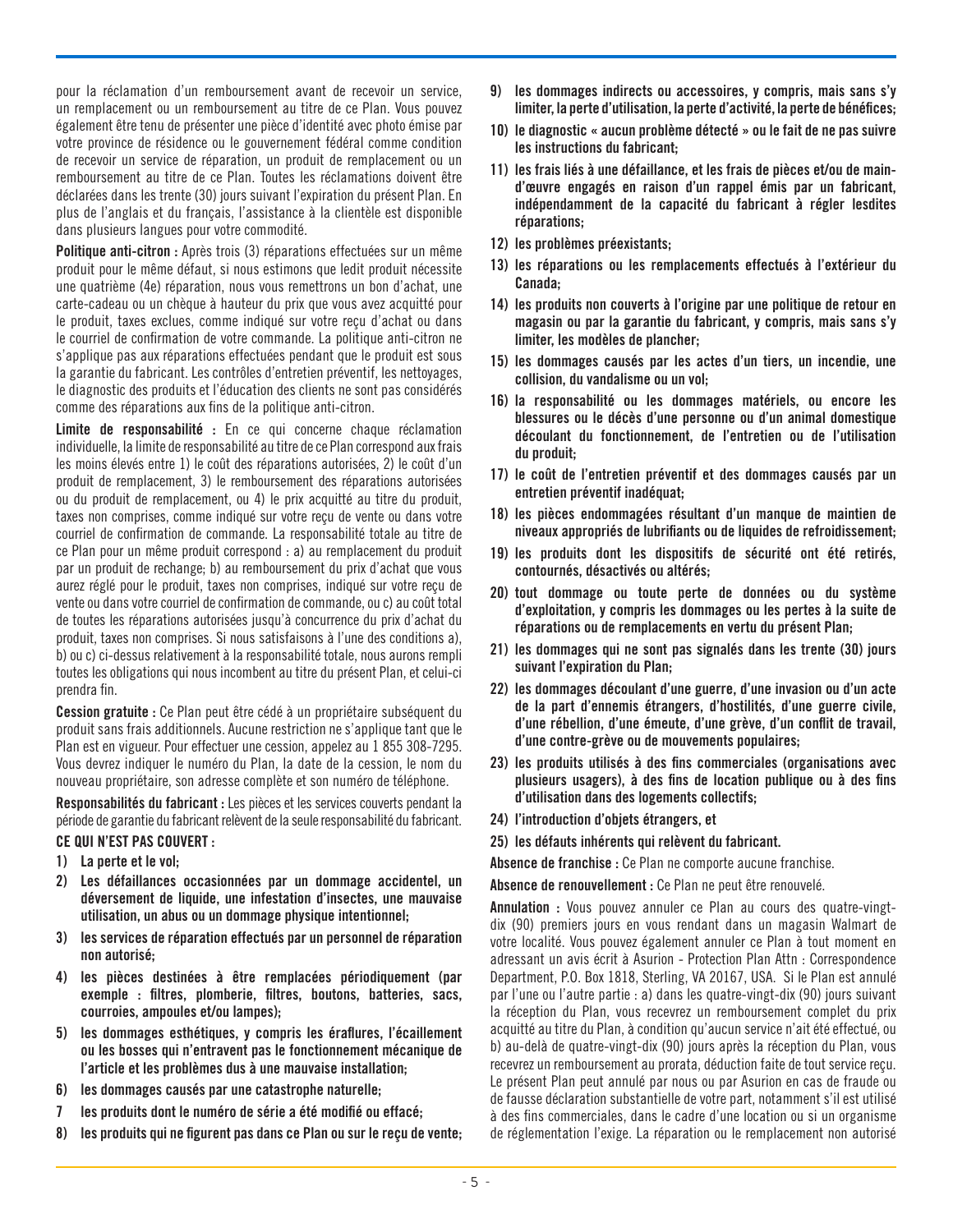pour la réclamation d'un remboursement avant de recevoir un service, un remplacement ou un remboursement au titre de ce Plan. Vous pouvez également être tenu de présenter une pièce d'identité avec photo émise par votre province de résidence ou le gouvernement fédéral comme condition de recevoir un service de réparation, un produit de remplacement ou un remboursement au titre de ce Plan. Toutes les réclamations doivent être déclarées dans les trente (30) jours suivant l'expiration du présent Plan. En plus de l'anglais et du français, l'assistance à la clientèle est disponible dans plusieurs langues pour votre commodité.

Politique anti-citron : Après trois (3) réparations effectuées sur un même produit pour le même défaut, si nous estimons que ledit produit nécessite une quatrième (4e) réparation, nous vous remettrons un bon d'achat, une carte-cadeau ou un chèque à hauteur du prix que vous avez acquitté pour le produit, taxes exclues, comme indiqué sur votre reçu d'achat ou dans le courriel de confirmation de votre commande. La politique anti-citron ne s'applique pas aux réparations effectuées pendant que le produit est sous la garantie du fabricant. Les contrôles d'entretien préventif, les nettoyages, le diagnostic des produits et l'éducation des clients ne sont pas considérés comme des réparations aux fins de la politique anti-citron.

Limite de responsabilité : En ce qui concerne chaque réclamation individuelle, la limite de responsabilité au titre de ce Plan correspond aux frais les moins élevés entre 1) le coût des réparations autorisées, 2) le coût d'un produit de remplacement, 3) le remboursement des réparations autorisées ou du produit de remplacement, ou 4) le prix acquitté au titre du produit, taxes non comprises, comme indiqué sur votre reçu de vente ou dans votre courriel de confirmation de commande. La responsabilité totale au titre de ce Plan pour un même produit correspond : a) au remplacement du produit par un produit de rechange; b) au remboursement du prix d'achat que vous aurez réglé pour le produit, taxes non comprises, indiqué sur votre reçu de vente ou dans votre courriel de confirmation de commande, ou c) au coût total de toutes les réparations autorisées jusqu'à concurrence du prix d'achat du produit, taxes non comprises. Si nous satisfaisons à l'une des conditions a), b) ou c) ci-dessus relativement à la responsabilité totale, nous aurons rempli toutes les obligations qui nous incombent au titre du présent Plan, et celui-ci prendra fin.

Cession gratuite : Ce Plan peut être cédé à un propriétaire subséquent du produit sans frais additionnels. Aucune restriction ne s'applique tant que le Plan est en vigueur. Pour effectuer une cession, appelez au 1 855 308-7295. Vous devrez indiquer le numéro du Plan, la date de la cession, le nom du nouveau propriétaire, son adresse complète et son numéro de téléphone.

Responsabilités du fabricant : Les pièces et les services couverts pendant la période de garantie du fabricant relèvent de la seule responsabilité du fabricant.

## CE QUI N'EST PAS COUVERT :

- 1) La perte et le vol;
- 2) Les défaillances occasionnées par un dommage accidentel, un déversement de liquide, une infestation d'insectes, une mauvaise utilisation, un abus ou un dommage physique intentionnel;
- 3) les services de réparation effectués par un personnel de réparation non autorisé;
- 4) les pièces destinées à être remplacées périodiquement (par exemple : filtres, plomberie, filtres, boutons, batteries, sacs, courroies, ampoules et/ou lampes);
- 5) les dommages esthétiques, y compris les éraflures, l'écaillement ou les bosses qui n'entravent pas le fonctionnement mécanique de l'article et les problèmes dus à une mauvaise installation;
- 6) les dommages causés par une catastrophe naturelle;
- 7 les produits dont le numéro de série a été modifié ou effacé;
- 8) les produits qui ne figurent pas dans ce Plan ou sur le reçu de vente;
- 9) les dommages indirects ou accessoires, y compris, mais sans s'y limiter, la perte d'utilisation, la perte d'activité, la perte de bénéfices;
- 10) le diagnostic « aucun problème détecté » ou le fait de ne pas suivre les instructions du fabricant;
- 11) les frais liés à une défaillance, et les frais de pièces et/ou de maind'œuvre engagés en raison d'un rappel émis par un fabricant, indépendamment de la capacité du fabricant à régler lesdites réparations;
- 12) les problèmes préexistants;
- 13) les réparations ou les remplacements effectués à l'extérieur du Canada;
- 14) les produits non couverts à l'origine par une politique de retour en magasin ou par la garantie du fabricant, y compris, mais sans s'y limiter, les modèles de plancher;
- 15) les dommages causés par les actes d'un tiers, un incendie, une collision, du vandalisme ou un vol;
- 16) la responsabilité ou les dommages matériels, ou encore les blessures ou le décès d'une personne ou d'un animal domestique découlant du fonctionnement, de l'entretien ou de l'utilisation du produit;
- 17) le coût de l'entretien préventif et des dommages causés par un entretien préventif inadéquat;
- 18) les pièces endommagées résultant d'un manque de maintien de niveaux appropriés de lubrifiants ou de liquides de refroidissement;
- 19) les produits dont les dispositifs de sécurité ont été retirés, contournés, désactivés ou altérés;
- 20) tout dommage ou toute perte de données ou du système d'exploitation, y compris les dommages ou les pertes à la suite de réparations ou de remplacements en vertu du présent Plan;
- 21) les dommages qui ne sont pas signalés dans les trente (30) jours suivant l'expiration du Plan;
- 22) les dommages découlant d'une guerre, d'une invasion ou d'un acte de la part d'ennemis étrangers, d'hostilités, d'une guerre civile, d'une rébellion, d'une émeute, d'une grève, d'un conflit de travail, d'une contre-grève ou de mouvements populaires;
- 23) les produits utilisés à des fins commerciales (organisations avec plusieurs usagers), à des fins de location publique ou à des fins d'utilisation dans des logements collectifs;
- 24) l'introduction d'objets étrangers, et
- 25) les défauts inhérents qui relèvent du fabricant.

Absence de franchise : Ce Plan ne comporte aucune franchise.

Absence de renouvellement : Ce Plan ne peut être renouvelé.

Annulation : Vous pouvez annuler ce Plan au cours des quatre-vingtdix (90) premiers jours en vous rendant dans un magasin Walmart de votre localité. Vous pouvez également annuler ce Plan à tout moment en adressant un avis écrit à Asurion - Protection Plan Attn : Correspondence Department, P.O. Box 1818, Sterling, VA 20167, USA. Si le Plan est annulé par l'une ou l'autre partie : a) dans les quatre-vingt-dix (90) jours suivant la réception du Plan, vous recevrez un remboursement complet du prix acquitté au titre du Plan, à condition qu'aucun service n'ait été effectué, ou b) au-delà de quatre-vingt-dix (90) jours après la réception du Plan, vous recevrez un remboursement au prorata, déduction faite de tout service reçu. Le présent Plan peut annulé par nous ou par Asurion en cas de fraude ou de fausse déclaration substantielle de votre part, notamment s'il est utilisé à des fins commerciales, dans le cadre d'une location ou si un organisme de réglementation l'exige. La réparation ou le remplacement non autorisé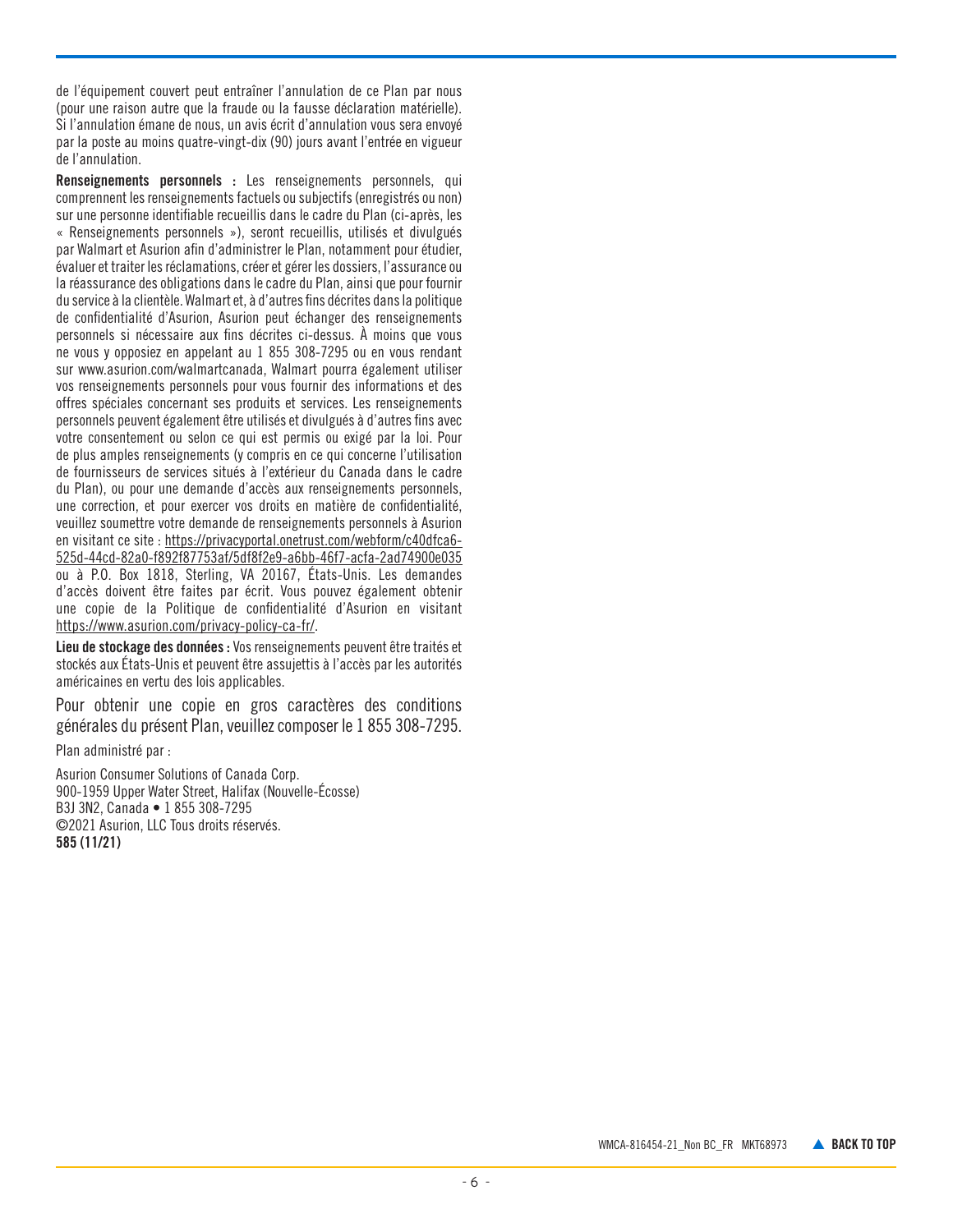de l'équipement couvert peut entraîner l'annulation de ce Plan par nous (pour une raison autre que la fraude ou la fausse déclaration matérielle). Si l'annulation émane de nous, un avis écrit d'annulation vous sera envoyé par la poste au moins quatre-vingt-dix (90) jours avant l'entrée en vigueur de l'annulation.

Renseignements personnels : Les renseignements personnels, qui comprennent les renseignements factuels ou subjectifs (enregistrés ou non) sur une personne identifiable recueillis dans le cadre du Plan (ci-après, les « Renseignements personnels »), seront recueillis, utilisés et divulgués par Walmart et Asurion afin d'administrer le Plan, notamment pour étudier, évaluer et traiter les réclamations, créer et gérer les dossiers, l'assurance ou la réassurance des obligations dans le cadre du Plan, ainsi que pour fournir du service à la clientèle. Walmart et, à d'autres fins décrites dans la politique de confidentialité d'Asurion, Asurion peut échanger des renseignements personnels si nécessaire aux fins décrites ci-dessus. À moins que vous ne vous y opposiez en appelant au 1 855 308-7295 ou en vous rendant sur www.asurion.com/walmartcanada, Walmart pourra également utiliser vos renseignements personnels pour vous fournir des informations et des offres spéciales concernant ses produits et services. Les renseignements personnels peuvent également être utilisés et divulgués à d'autres fins avec votre consentement ou selon ce qui est permis ou exigé par la loi. Pour de plus amples renseignements (y compris en ce qui concerne l'utilisation de fournisseurs de services situés à l'extérieur du Canada dans le cadre du Plan), ou pour une demande d'accès aux renseignements personnels, une correction, et pour exercer vos droits en matière de confidentialité, veuillez soumettre votre demande de renseignements personnels à Asurion en visitant ce site : https://privacyportal.onetrust.com/webform/c40dfca6- 525d-44cd-82a0-f892f87753af/5df8f2e9-a6bb-46f7-acfa-2ad74900e035 ou à P.O. Box 1818, Sterling, VA 20167, États-Unis. Les demandes d'accès doivent être faites par écrit. Vous pouvez également obtenir une copie de la Politique de confidentialité d'Asurion en visitant <https://www.asurion.com/privacy-policy-ca-fr/>.

Lieu de stockage des données : Vos renseignements peuvent être traités et stockés aux États-Unis et peuvent être assujettis à l'accès par les autorités américaines en vertu des lois applicables.

Pour obtenir une copie en gros caractères des conditions générales du présent Plan, veuillez composer le 1 855 308-7295.

Plan administré par :

Asurion Consumer Solutions of Canada Corp. 900-1959 Upper Water Street, Halifax (Nouvelle-Écosse) B3J 3N2, Canada • 1 855 308-7295 ©2021 Asurion, LLC Tous droits réservés. 585 (11/21)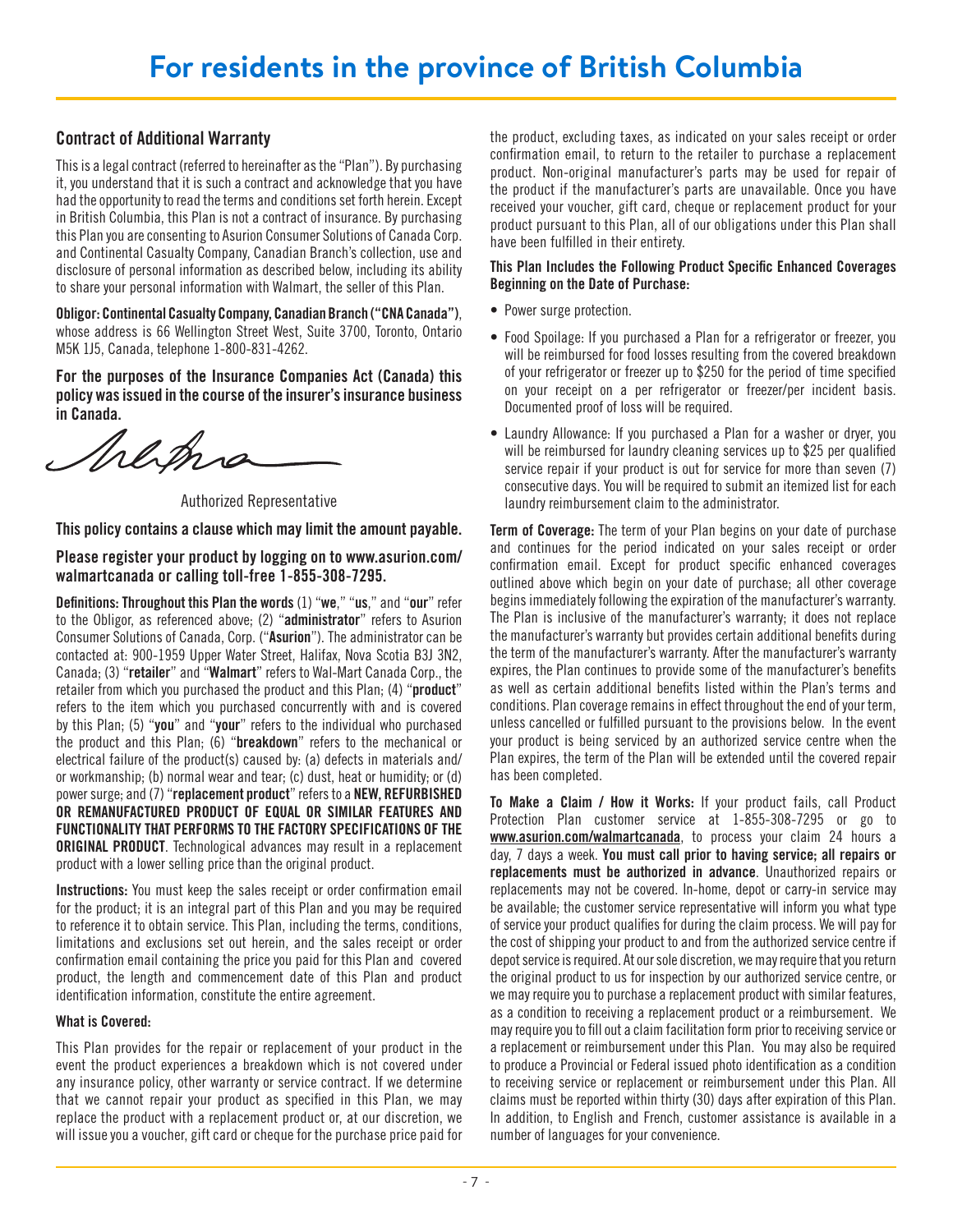# <span id="page-6-0"></span>Contract of Additional Warranty

This is a legal contract (referred to hereinafter as the "Plan"). By purchasing it, you understand that it is such a contract and acknowledge that you have had the opportunity to read the terms and conditions set forth herein. Except in British Columbia, this Plan is not a contract of insurance. By purchasing this Plan you are consenting to Asurion Consumer Solutions of Canada Corp. and Continental Casualty Company, Canadian Branch's collection, use and disclosure of personal information as described below, including its ability to share your personal information with Walmart, the seller of this Plan.

Obligor: Continental Casualty Company, Canadian Branch ("CNA Canada"), whose address is 66 Wellington Street West, Suite 3700, Toronto, Ontario M5K 1J5, Canada, telephone 1-800-831-4262.

For the purposes of the Insurance Companies Act (Canada) this policy was issued in the course of the insurer's insurance business in Canada.

Sherma

Authorized Representative

This policy contains a clause which may limit the amount payable.

Please register your product by logging on to www.asurion.com/ walmartcanada or calling toll-free 1-855-308-7295.

Definitions: Throughout this Plan the words (1) "we," "us," and "our" refer to the Obligor, as referenced above; (2) "administrator" refers to Asurion Consumer Solutions of Canada, Corp. ("Asurion"). The administrator can be contacted at: 900-1959 Upper Water Street, Halifax, Nova Scotia B3J 3N2, Canada; (3) "retailer" and "Walmart" refers to Wal-Mart Canada Corp., the retailer from which you purchased the product and this Plan: (4) "**product**" refers to the item which you purchased concurrently with and is covered by this Plan; (5) "you" and "your" refers to the individual who purchased the product and this Plan; (6) "breakdown" refers to the mechanical or electrical failure of the product(s) caused by: (a) defects in materials and/ or workmanship; (b) normal wear and tear; (c) dust, heat or humidity; or (d) power surge; and (7) "replacement product" refers to a NEW, REFURBISHED OR REMANUFACTURED PRODUCT OF EQUAL OR SIMILAR FEATURES AND FUNCTIONALITY THAT PERFORMS TO THE FACTORY SPECIFICATIONS OF THE ORIGINAL PRODUCT. Technological advances may result in a replacement product with a lower selling price than the original product.

Instructions: You must keep the sales receipt or order confirmation email for the product; it is an integral part of this Plan and you may be required to reference it to obtain service. This Plan, including the terms, conditions, limitations and exclusions set out herein, and the sales receipt or order confirmation email containing the price you paid for this Plan and covered product, the length and commencement date of this Plan and product identification information, constitute the entire agreement.

## What is Covered:

This Plan provides for the repair or replacement of your product in the event the product experiences a breakdown which is not covered under any insurance policy, other warranty or service contract. If we determine that we cannot repair your product as specified in this Plan, we may replace the product with a replacement product or, at our discretion, we will issue you a voucher, gift card or cheque for the purchase price paid for

the product, excluding taxes, as indicated on your sales receipt or order confirmation email, to return to the retailer to purchase a replacement product. Non-original manufacturer's parts may be used for repair of the product if the manufacturer's parts are unavailable. Once you have received your voucher, gift card, cheque or replacement product for your product pursuant to this Plan, all of our obligations under this Plan shall have been fulfilled in their entirety.

## This Plan Includes the Following Product Specific Enhanced Coverages Beginning on the Date of Purchase:

- Power surge protection.
- Food Spoilage: If you purchased a Plan for a refrigerator or freezer, you will be reimbursed for food losses resulting from the covered breakdown of your refrigerator or freezer up to \$250 for the period of time specified on your receipt on a per refrigerator or freezer/per incident basis. Documented proof of loss will be required.
- Laundry Allowance: If you purchased a Plan for a washer or dryer, you will be reimbursed for laundry cleaning services up to \$25 per qualified service repair if your product is out for service for more than seven (7) consecutive days. You will be required to submit an itemized list for each laundry reimbursement claim to the administrator.

Term of Coverage: The term of your Plan begins on your date of purchase and continues for the period indicated on your sales receipt or order confirmation email. Except for product specific enhanced coverages outlined above which begin on your date of purchase; all other coverage begins immediately following the expiration of the manufacturer's warranty. The Plan is inclusive of the manufacturer's warranty; it does not replace the manufacturer's warranty but provides certain additional benefits during the term of the manufacturer's warranty. After the manufacturer's warranty expires, the Plan continues to provide some of the manufacturer's benefits as well as certain additional benefits listed within the Plan's terms and conditions. Plan coverage remains in effect throughout the end of your term, unless cancelled or fulfilled pursuant to the provisions below. In the event your product is being serviced by an authorized service centre when the Plan expires, the term of the Plan will be extended until the covered repair has been completed.

To Make a Claim / How it Works: If your product fails, call Product Protection Plan customer service at 1-855-308-7295 or go to [www.asurion.com/walmartcanada](http://www.asurion.com/walmartcanada), to process your claim 24 hours a day, 7 days a week. You must call prior to having service; all repairs or replacements must be authorized in advance. Unauthorized repairs or replacements may not be covered. In-home, depot or carry-in service may be available; the customer service representative will inform you what type of service your product qualifies for during the claim process. We will pay for the cost of shipping your product to and from the authorized service centre if depot service is required. At our sole discretion, we may require that you return the original product to us for inspection by our authorized service centre, or we may require you to purchase a replacement product with similar features, as a condition to receiving a replacement product or a reimbursement. We may require you to fill out a claim facilitation form prior to receiving service or a replacement or reimbursement under this Plan. You may also be required to produce a Provincial or Federal issued photo identification as a condition to receiving service or replacement or reimbursement under this Plan. All claims must be reported within thirty (30) days after expiration of this Plan. In addition, to English and French, customer assistance is available in a number of languages for your convenience.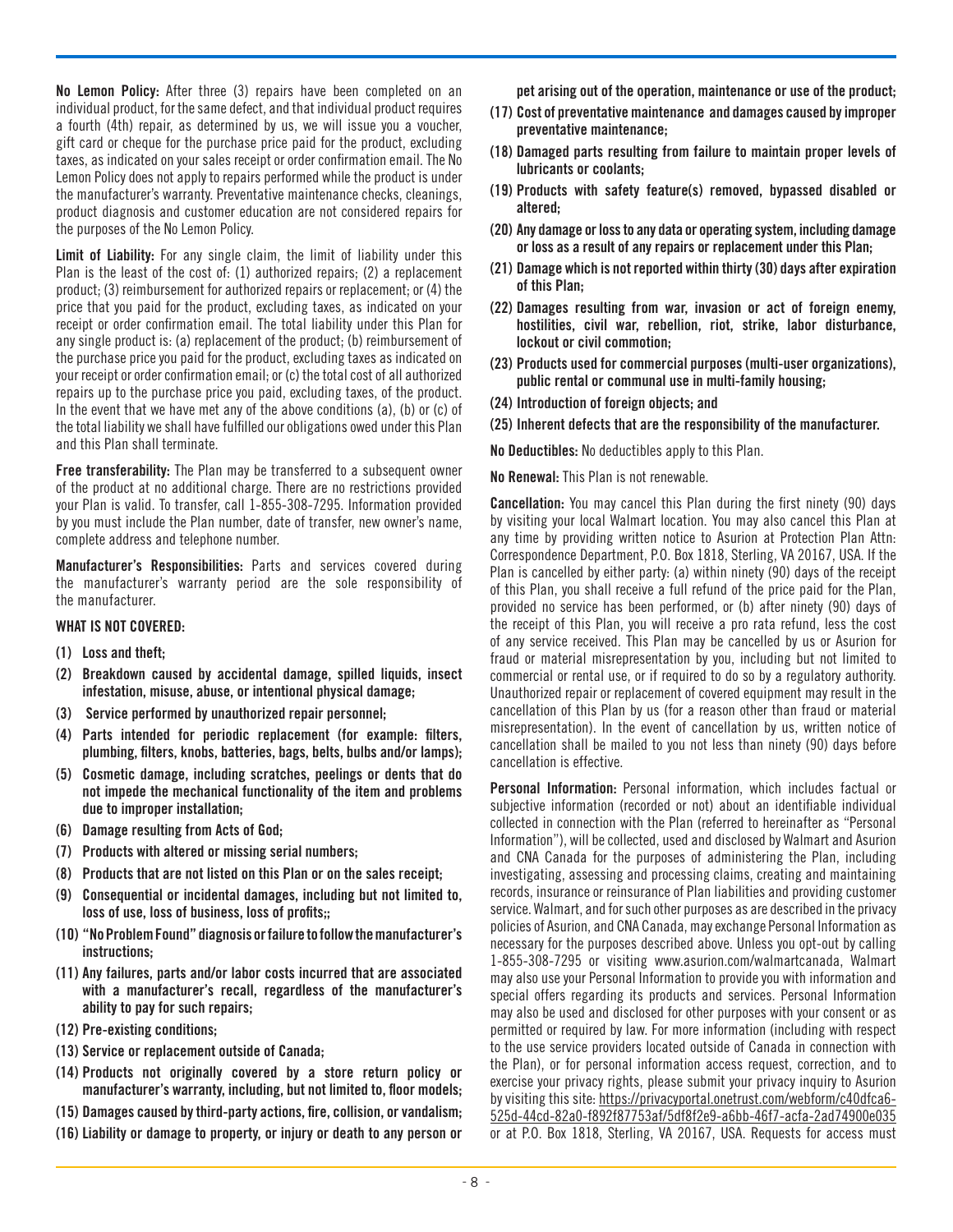No Lemon Policy: After three (3) repairs have been completed on an individual product, for the same defect, and that individual product requires a fourth (4th) repair, as determined by us, we will issue you a voucher, gift card or cheque for the purchase price paid for the product, excluding taxes, as indicated on your sales receipt or order confirmation email. The No Lemon Policy does not apply to repairs performed while the product is under the manufacturer's warranty. Preventative maintenance checks, cleanings, product diagnosis and customer education are not considered repairs for the purposes of the No Lemon Policy.

Limit of Liability: For any single claim, the limit of liability under this Plan is the least of the cost of: (1) authorized repairs; (2) a replacement product; (3) reimbursement for authorized repairs or replacement; or (4) the price that you paid for the product, excluding taxes, as indicated on your receipt or order confirmation email. The total liability under this Plan for any single product is: (a) replacement of the product; (b) reimbursement of the purchase price you paid for the product, excluding taxes as indicated on your receipt or order confirmation email; or (c) the total cost of all authorized repairs up to the purchase price you paid, excluding taxes, of the product. In the event that we have met any of the above conditions (a), (b) or (c) of the total liability we shall have fulfilled our obligations owed under this Plan and this Plan shall terminate.

Free transferability: The Plan may be transferred to a subsequent owner of the product at no additional charge. There are no restrictions provided your Plan is valid. To transfer, call 1-855-308-7295. Information provided by you must include the Plan number, date of transfer, new owner's name, complete address and telephone number.

Manufacturer's Responsibilities: Parts and services covered during the manufacturer's warranty period are the sole responsibility of the manufacturer.

#### WHAT IS NOT COVERED:

- (1) Loss and theft;
- (2) Breakdown caused by accidental damage, spilled liquids, insect infestation, misuse, abuse, or intentional physical damage;
- (3) Service performed by unauthorized repair personnel;
- (4) Parts intended for periodic replacement (for example: filters, plumbing, filters, knobs, batteries, bags, belts, bulbs and/or lamps);
- (5) Cosmetic damage, including scratches, peelings or dents that do not impede the mechanical functionality of the item and problems due to improper installation;
- (6) Damage resulting from Acts of God;
- (7) Products with altered or missing serial numbers;
- (8) Products that are not listed on this Plan or on the sales receipt;
- (9) Consequential or incidental damages, including but not limited to, loss of use, loss of business, loss of profits::
- (10) "No Problem Found" diagnosis or failure to follow the manufacturer's instructions;
- (11) Any failures, parts and/or labor costs incurred that are associated with a manufacturer's recall, regardless of the manufacturer's ability to pay for such repairs;
- (12) Pre-existing conditions;
- (13) Service or replacement outside of Canada;
- (14) Products not originally covered by a store return policy or manufacturer's warranty, including, but not limited to, floor models;
- (15) Damages caused by third-party actions, fire, collision, or vandalism;
- (16) Liability or damage to property, or injury or death to any person or

pet arising out of the operation, maintenance or use of the product;

- (17) Cost of preventative maintenance and damages caused by improper preventative maintenance;
- (18) Damaged parts resulting from failure to maintain proper levels of lubricants or coolants;
- (19) Products with safety feature(s) removed, bypassed disabled or altered;
- (20) Any damage or loss to any data or operating system, including damage or loss as a result of any repairs or replacement under this Plan;
- (21) Damage which is not reported within thirty (30) days after expiration of this Plan;
- (22) Damages resulting from war, invasion or act of foreign enemy, hostilities, civil war, rebellion, riot, strike, labor disturbance, lockout or civil commotion;
- (23) Products used for commercial purposes (multi-user organizations), public rental or communal use in multi-family housing;
- (24) Introduction of foreign objects; and
- (25) Inherent defects that are the responsibility of the manufacturer.

No Deductibles: No deductibles apply to this Plan.

No Renewal: This Plan is not renewable.

Cancellation: You may cancel this Plan during the first ninety (90) days by visiting your local Walmart location. You may also cancel this Plan at any time by providing written notice to Asurion at Protection Plan Attn: Correspondence Department, P.O. Box 1818, Sterling, VA 20167, USA. If the Plan is cancelled by either party: (a) within ninety (90) days of the receipt of this Plan, you shall receive a full refund of the price paid for the Plan, provided no service has been performed, or (b) after ninety (90) days of the receipt of this Plan, you will receive a pro rata refund, less the cost of any service received. This Plan may be cancelled by us or Asurion for fraud or material misrepresentation by you, including but not limited to commercial or rental use, or if required to do so by a regulatory authority. Unauthorized repair or replacement of covered equipment may result in the cancellation of this Plan by us (for a reason other than fraud or material misrepresentation). In the event of cancellation by us, written notice of cancellation shall be mailed to you not less than ninety (90) days before cancellation is effective.

Personal Information: Personal information, which includes factual or subjective information (recorded or not) about an identifiable individual collected in connection with the Plan (referred to hereinafter as "Personal Information"), will be collected, used and disclosed by Walmart and Asurion and CNA Canada for the purposes of administering the Plan, including investigating, assessing and processing claims, creating and maintaining records, insurance or reinsurance of Plan liabilities and providing customer service. Walmart, and for such other purposes as are described in the privacy policies of Asurion, and CNA Canada, may exchange Personal Information as necessary for the purposes described above. Unless you opt-out by calling 1-855-308-7295 or visiting www.asurion.com/walmartcanada, Walmart may also use your Personal Information to provide you with information and special offers regarding its products and services. Personal Information may also be used and disclosed for other purposes with your consent or as permitted or required by law. For more information (including with respect to the use service providers located outside of Canada in connection with the Plan), or for personal information access request, correction, and to exercise your privacy rights, please submit your privacy inquiry to Asurion by visiting this site: https://privacyportal.onetrust.com/webform/c40dfca6- 525d-44cd-82a0-f892f87753af/5df8f2e9-a6bb-46f7-acfa-2ad74900e035 or at P.O. Box 1818, Sterling, VA 20167, USA. Requests for access must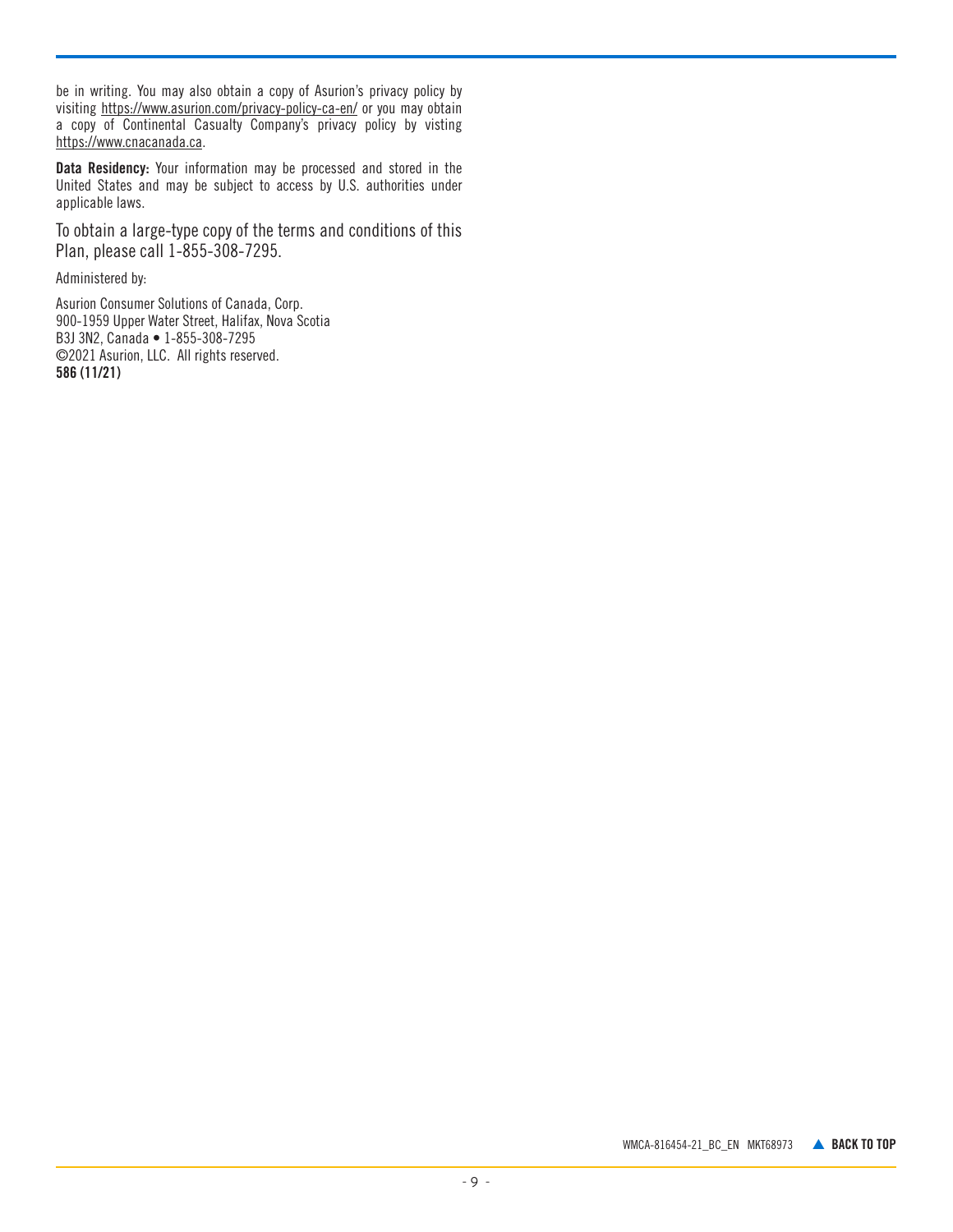be in writing. You may also obtain a copy of Asurion's privacy policy by visiting <https://www.asurion.com/privacy-policy-ca-en/>or you may obtain a copy of Continental Casualty Company's privacy policy by visting <https://www.cnacanada.ca>.

Data Residency: Your information may be processed and stored in the United States and may be subject to access by U.S. authorities under applicable laws.

To obtain a large-type copy of the terms and conditions of this Plan, please call 1-855-308-7295.

Administered by:

Asurion Consumer Solutions of Canada, Corp. 900-1959 Upper Water Street, Halifax, Nova Scotia B3J 3N2, Canada • 1-855-308-7295 ©2021 Asurion, LLC. All rights reserved. 586 (11/21)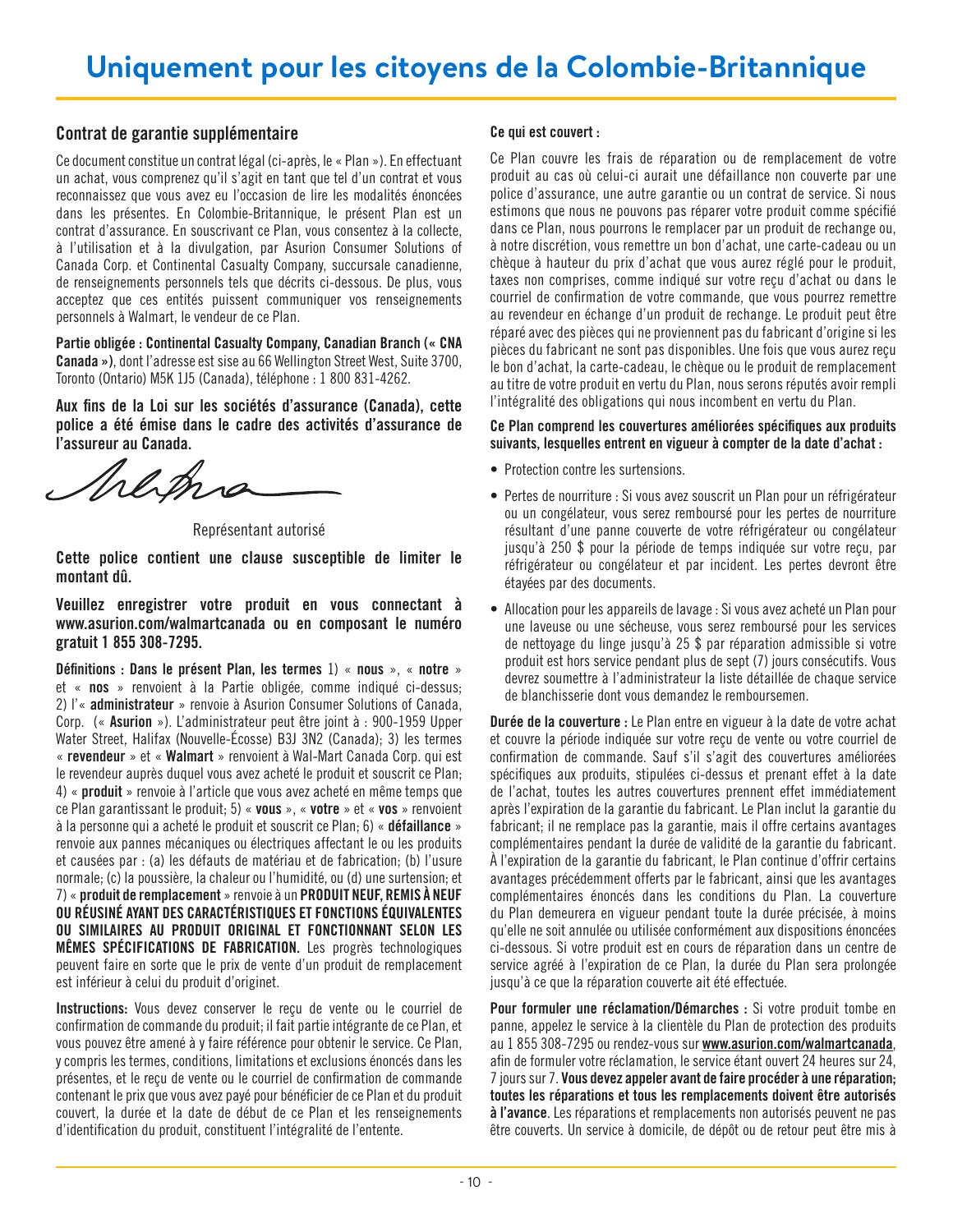## <span id="page-9-0"></span>Contrat de garantie supplémentaire

Ce document constitue un contrat légal (ci-après, le « Plan »). En effectuant un achat, vous comprenez qu'il s'agit en tant que tel d'un contrat et vous reconnaissez que vous avez eu l'occasion de lire les modalités énoncées dans les présentes. En Colombie-Britannique, le présent Plan est un contrat d'assurance. En souscrivant ce Plan, vous consentez à la collecte, à l'utilisation et à la divulgation, par Asurion Consumer Solutions of Canada Corp. et Continental Casualty Company, succursale canadienne, de renseignements personnels tels que décrits ci-dessous. De plus, vous acceptez que ces entités puissent communiquer vos renseignements personnels à Walmart, le vendeur de ce Plan.

Partie obligée : Continental Casualty Company, Canadian Branch (« CNA Canada »), dont l'adresse est sise au 66 Wellington Street West, Suite 3700, Toronto (Ontario) M5K 1J5 (Canada), téléphone : 1 800 831-4262.

Aux fins de la Loi sur les sociétés d'assurance (Canada), cette police a été émise dans le cadre des activités d'assurance de l'assureur au Canada.

Malam

Représentant autorisé

Cette police contient une clause susceptible de limiter le montant dû.

Veuillez enregistrer votre produit en vous connectant à www.asurion.com/walmartcanada ou en composant le numéro gratuit 1 855 308-7295.

Définitions : Dans le présent Plan, les termes 1) « nous », « notre » et « nos » renvoient à la Partie obligée, comme indiqué ci-dessus; 2) l'« administrateur » renvoie à Asurion Consumer Solutions of Canada, Corp. (« Asurion »). L'administrateur peut être joint à : 900-1959 Upper Water Street, Halifax (Nouvelle-Écosse) B3J 3N2 (Canada); 3) les termes « revendeur » et « Walmart » renvoient à Wal-Mart Canada Corp. qui est le revendeur auprès duquel vous avez acheté le produit et souscrit ce Plan; 4) « produit » renvoie à l'article que vous avez acheté en même temps que ce Plan garantissant le produit; 5) « vous », « votre » et « vos » renvoient à la personne qui a acheté le produit et souscrit ce Plan; 6) « défaillance » renvoie aux pannes mécaniques ou électriques affectant le ou les produits et causées par : (a) les défauts de matériau et de fabrication; (b) l'usure normale; (c) la poussière, la chaleur ou l'humidité, ou (d) une surtension; et 7) « produit de remplacement » renvoie à un PRODUIT NEUF, REMIS À NEUF OU RÉUSINÉ AYANT DES CARACTÉRISTIQUES ET FONCTIONS ÉQUIVALENTES OU SIMILAIRES AU PRODUIT ORIGINAL ET FONCTIONNANT SELON LES MÊMES SPÉCIFICATIONS DE FABRICATION. Les progrès technologiques peuvent faire en sorte que le prix de vente d'un produit de remplacement est inférieur à celui du produit d'originet.

Instructions: Vous devez conserver le reçu de vente ou le courriel de confirmation de commande du produit; il fait partie intégrante de ce Plan, et vous pouvez être amené à y faire référence pour obtenir le service. Ce Plan, y compris les termes, conditions, limitations et exclusions énoncés dans les présentes, et le reçu de vente ou le courriel de confirmation de commande contenant le prix que vous avez payé pour bénéficier de ce Plan et du produit couvert, la durée et la date de début de ce Plan et les renseignements d'identification du produit, constituent l'intégralité de l'entente.

## Ce qui est couvert :

Ce Plan couvre les frais de réparation ou de remplacement de votre produit au cas où celui-ci aurait une défaillance non couverte par une police d'assurance, une autre garantie ou un contrat de service. Si nous estimons que nous ne pouvons pas réparer votre produit comme spécifié dans ce Plan, nous pourrons le remplacer par un produit de rechange ou, à notre discrétion, vous remettre un bon d'achat, une carte-cadeau ou un chèque à hauteur du prix d'achat que vous aurez réglé pour le produit, taxes non comprises, comme indiqué sur votre reçu d'achat ou dans le courriel de confirmation de votre commande, que vous pourrez remettre au revendeur en échange d'un produit de rechange. Le produit peut être réparé avec des pièces qui ne proviennent pas du fabricant d'origine si les pièces du fabricant ne sont pas disponibles. Une fois que vous aurez reçu le bon d'achat, la carte-cadeau, le chèque ou le produit de remplacement au titre de votre produit en vertu du Plan, nous serons réputés avoir rempli l'intégralité des obligations qui nous incombent en vertu du Plan.

## Ce Plan comprend les couvertures améliorées spécifiques aux produits suivants, lesquelles entrent en vigueur à compter de la date d'achat :

- Protection contre les surtensions.
- Pertes de nourriture : Si vous avez souscrit un Plan pour un réfrigérateur ou un congélateur, vous serez remboursé pour les pertes de nourriture résultant d'une panne couverte de votre réfrigérateur ou congélateur jusqu'à 250 \$ pour la période de temps indiquée sur votre reçu, par réfrigérateur ou congélateur et par incident. Les pertes devront être étayées par des documents.
- Allocation pour les appareils de lavage : Si vous avez acheté un Plan pour une laveuse ou une sécheuse, vous serez remboursé pour les services de nettoyage du linge jusqu'à 25 \$ par réparation admissible si votre produit est hors service pendant plus de sept (7) jours consécutifs. Vous devrez soumettre à l'administrateur la liste détaillée de chaque service de blanchisserie dont vous demandez le remboursemen.

Durée de la couverture : Le Plan entre en vigueur à la date de votre achat et couvre la période indiquée sur votre reçu de vente ou votre courriel de confirmation de commande. Sauf s'il s'agit des couvertures améliorées spécifiques aux produits, stipulées ci-dessus et prenant effet à la date de l'achat, toutes les autres couvertures prennent effet immédiatement après l'expiration de la garantie du fabricant. Le Plan inclut la garantie du fabricant; il ne remplace pas la garantie, mais il offre certains avantages complémentaires pendant la durée de validité de la garantie du fabricant. À l'expiration de la garantie du fabricant, le Plan continue d'offrir certains avantages précédemment offerts par le fabricant, ainsi que les avantages complémentaires énoncés dans les conditions du Plan. La couverture du Plan demeurera en vigueur pendant toute la durée précisée, à moins qu'elle ne soit annulée ou utilisée conformément aux dispositions énoncées ci-dessous. Si votre produit est en cours de réparation dans un centre de service agréé à l'expiration de ce Plan, la durée du Plan sera prolongée jusqu'à ce que la réparation couverte ait été effectuée.

Pour formuler une réclamation/Démarches : Si votre produit tombe en panne, appelez le service à la clientèle du Plan de protection des produits au 1 855 308-7295 ou rendez-vous sur [www.asurion.com/walmartcanada](http://www.asurion.com/walmartcanada), afin de formuler votre réclamation, le service étant ouvert 24 heures sur 24, 7 jours sur 7. Vous devez appeler avant de faire procéder à une réparation; toutes les réparations et tous les remplacements doivent être autorisés à l'avance. Les réparations et remplacements non autorisés peuvent ne pas être couverts. Un service à domicile, de dépôt ou de retour peut être mis à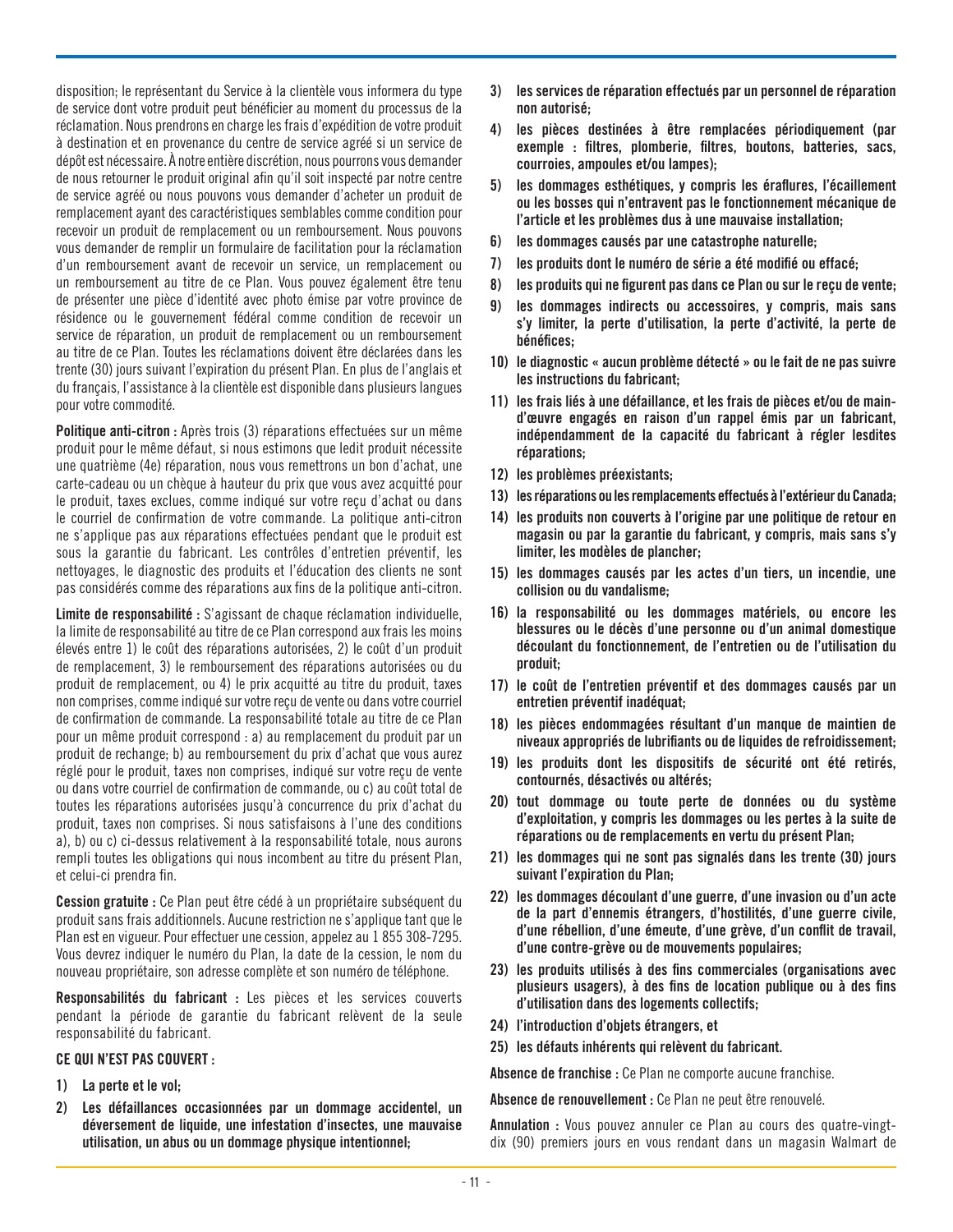disposition; le représentant du Service à la clientèle vous informera du type de service dont votre produit peut bénéficier au moment du processus de la réclamation. Nous prendrons en charge les frais d'expédition de votre produit à destination et en provenance du centre de service agréé si un service de dépôt est nécessaire. À notre entière discrétion, nous pourrons vous demander de nous retourner le produit original afin qu'il soit inspecté par notre centre de service agréé ou nous pouvons vous demander d'acheter un produit de remplacement ayant des caractéristiques semblables comme condition pour recevoir un produit de remplacement ou un remboursement. Nous pouvons vous demander de remplir un formulaire de facilitation pour la réclamation d'un remboursement avant de recevoir un service, un remplacement ou un remboursement au titre de ce Plan. Vous pouvez également être tenu de présenter une pièce d'identité avec photo émise par votre province de résidence ou le gouvernement fédéral comme condition de recevoir un service de réparation, un produit de remplacement ou un remboursement au titre de ce Plan. Toutes les réclamations doivent être déclarées dans les trente (30) jours suivant l'expiration du présent Plan. En plus de l'anglais et du français, l'assistance à la clientèle est disponible dans plusieurs langues pour votre commodité.

Politique anti-citron : Après trois (3) réparations effectuées sur un même produit pour le même défaut, si nous estimons que ledit produit nécessite une quatrième (4e) réparation, nous vous remettrons un bon d'achat, une carte-cadeau ou un chèque à hauteur du prix que vous avez acquitté pour le produit, taxes exclues, comme indiqué sur votre reçu d'achat ou dans le courriel de confirmation de votre commande. La politique anti-citron ne s'applique pas aux réparations effectuées pendant que le produit est sous la garantie du fabricant. Les contrôles d'entretien préventif, les nettoyages, le diagnostic des produits et l'éducation des clients ne sont pas considérés comme des réparations aux fins de la politique anti-citron.

Limite de responsabilité : S'agissant de chaque réclamation individuelle, la limite de responsabilité au titre de ce Plan correspond aux frais les moins élevés entre 1) le coût des réparations autorisées, 2) le coût d'un produit de remplacement, 3) le remboursement des réparations autorisées ou du produit de remplacement, ou 4) le prix acquitté au titre du produit, taxes non comprises, comme indiqué sur votre reçu de vente ou dans votre courriel de confirmation de commande. La responsabilité totale au titre de ce Plan pour un même produit correspond : a) au remplacement du produit par un produit de rechange; b) au remboursement du prix d'achat que vous aurez réglé pour le produit, taxes non comprises, indiqué sur votre reçu de vente ou dans votre courriel de confirmation de commande, ou c) au coût total de toutes les réparations autorisées jusqu'à concurrence du prix d'achat du produit, taxes non comprises. Si nous satisfaisons à l'une des conditions a), b) ou c) ci-dessus relativement à la responsabilité totale, nous aurons rempli toutes les obligations qui nous incombent au titre du présent Plan, et celui-ci prendra fin.

Cession gratuite : Ce Plan peut être cédé à un propriétaire subséquent du produit sans frais additionnels. Aucune restriction ne s'applique tant que le Plan est en vigueur. Pour effectuer une cession, appelez au 1 855 308-7295. Vous devrez indiquer le numéro du Plan, la date de la cession, le nom du nouveau propriétaire, son adresse complète et son numéro de téléphone.

Responsabilités du fabricant : Les pièces et les services couverts pendant la période de garantie du fabricant relèvent de la seule responsabilité du fabricant.

## CE QUI N'EST PAS COUVERT :

- 1) La perte et le vol;
- 2) Les défaillances occasionnées par un dommage accidentel, un déversement de liquide, une infestation d'insectes, une mauvaise utilisation, un abus ou un dommage physique intentionnel;
- 3) les services de réparation effectués par un personnel de réparation non autorisé;
- 4) les pièces destinées à être remplacées périodiquement (par exemple : filtres, plomberie, filtres, boutons, batteries, sacs, courroies, ampoules et/ou lampes);
- 5) les dommages esthétiques, y compris les éraflures, l'écaillement ou les bosses qui n'entravent pas le fonctionnement mécanique de l'article et les problèmes dus à une mauvaise installation;
- 6) les dommages causés par une catastrophe naturelle;
- 7) les produits dont le numéro de série a été modifié ou effacé;
- 8) les produits qui ne figurent pas dans ce Plan ou sur le reçu de vente;
- 9) les dommages indirects ou accessoires, y compris, mais sans s'y limiter, la perte d'utilisation, la perte d'activité, la perte de bénéfices;
- 10) le diagnostic « aucun problème détecté » ou le fait de ne pas suivre les instructions du fabricant;
- 11) les frais liés à une défaillance, et les frais de pièces et/ou de maind'œuvre engagés en raison d'un rappel émis par un fabricant, indépendamment de la capacité du fabricant à régler lesdites réparations;
- 12) les problèmes préexistants;
- 13) les réparations ou les remplacements effectués à l'extérieur du Canada;
- 14) les produits non couverts à l'origine par une politique de retour en magasin ou par la garantie du fabricant, y compris, mais sans s'y limiter, les modèles de plancher;
- 15) les dommages causés par les actes d'un tiers, un incendie, une collision ou du vandalisme;
- 16) la responsabilité ou les dommages matériels, ou encore les blessures ou le décès d'une personne ou d'un animal domestique découlant du fonctionnement, de l'entretien ou de l'utilisation du produit;
- 17) le coût de l'entretien préventif et des dommages causés par un entretien préventif inadéquat;
- 18) les pièces endommagées résultant d'un manque de maintien de niveaux appropriés de lubrifiants ou de liquides de refroidissement;
- 19) les produits dont les dispositifs de sécurité ont été retirés, contournés, désactivés ou altérés;
- 20) tout dommage ou toute perte de données ou du système d'exploitation, y compris les dommages ou les pertes à la suite de réparations ou de remplacements en vertu du présent Plan;
- 21) les dommages qui ne sont pas signalés dans les trente (30) jours suivant l'expiration du Plan;
- 22) les dommages découlant d'une guerre, d'une invasion ou d'un acte de la part d'ennemis étrangers, d'hostilités, d'une guerre civile, d'une rébellion, d'une émeute, d'une grève, d'un conflit de travail, d'une contre-grève ou de mouvements populaires;
- 23) les produits utilisés à des fins commerciales (organisations avec plusieurs usagers), à des fins de location publique ou à des fins d'utilisation dans des logements collectifs;
- 24) l'introduction d'objets étrangers, et
- 25) les défauts inhérents qui relèvent du fabricant.

Absence de franchise : Ce Plan ne comporte aucune franchise.

Absence de renouvellement : Ce Plan ne peut être renouvelé.

Annulation : Vous pouvez annuler ce Plan au cours des quatre-vingtdix (90) premiers jours en vous rendant dans un magasin Walmart de